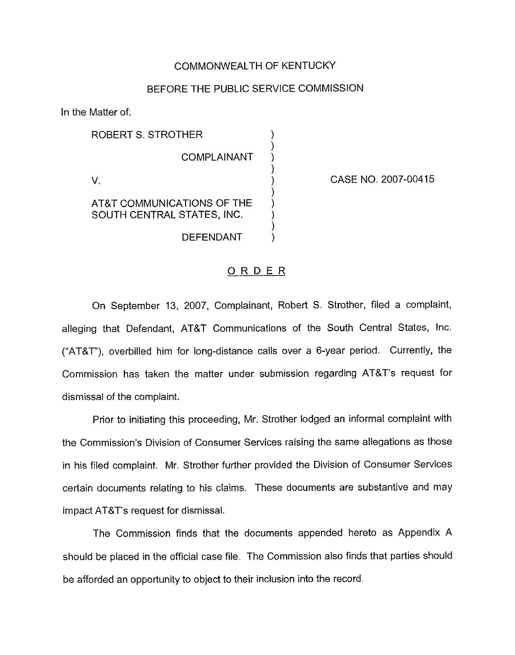#### COMMONWEALTH OF KENTUCKY

### BEFORE THE PUBLIC SERVICE COMMISSION

)

)

)

)

in the Matter of:

ROBERT S. STROTHER  $)$ 

**COMPLAINANT** 

 $V_{\rm s}$  ) and  $\left(\frac{1}{2}\right)^2$  (i.e.  $\left(\frac{1}{2}\right)^2$  ) and  $\left(\frac{1}{2}\right)^2$  (i.e.  $\left(\frac{1}{2}\right)^2$  ) and  $\left(\frac{1}{2}\right)^2$  (i.e.  $\left(\frac{1}{2}\right)^2$  ) and  $\left(\frac{1}{2}\right)^2$  (i.e.  $\left(\frac{1}{2}\right)^2$  ) and  $\left(\frac{1}{2}\right)^2$  (i.e.  $\left(\frac{1}{2}\right)^2$  )

CASE NO. 2007-00415

# AT&T COMMUNICATIONS OF THE ) SOUTH CENTRAL STATES, INC.

DEFENDANT )

## ORDER

On September 13, 2007, Complainant, Robert S. Strother, filed a complaint, alleging that Defendant, AT8T Communications of the South Central States, Inc. ("AT&T"), overbilled him for long-distance calls over a 6-year period. Currently, the Commission has taken the matter under submission regarding AT&T's request for dismissal of the complaint.

Prior to initiating this proceeding, Mr. Strother lodged an informal complaint with the Commission's Division of Consumer Services raising the same allegations as those in his filed complaint. Mr. Strother further provided the Division of Consumer Services certain documents relating to his claims. These documents are substantive and may impact AT&T's request for dismissal.

The Commission finds that the documents appended hereto as Appendix A should be placed in the official case file. The Commission also finds that parties should be afforded an opportunity to object to their inclusion into the record.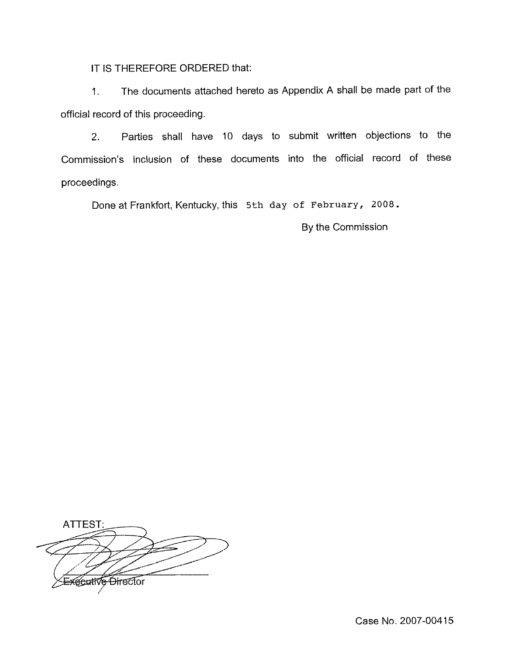IT IS THEREFORE ORDERED that:

1. The documents attached hereto as Appendix <sup>A</sup> shall be made part of the official record of this proceeding.

2. Parties shall have 10 days to submit written objections to the Commission's inclusion of these documents into the official record of these proceedings.

Done at Frankfort, Kentucky, this 5th day of February, 2008.

By the Commission

ATTEST: Executive Director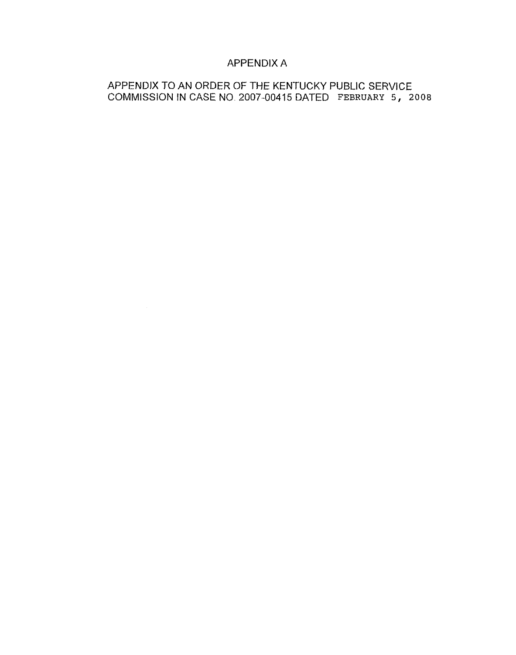## APPENDIX A

# APPENDIX TO AN ORDER OF THE KENTUCKY PUBLIC SERVICE COMMISSION IN CASE NO 2007-00415 DATED FEBRUARY 5, 2008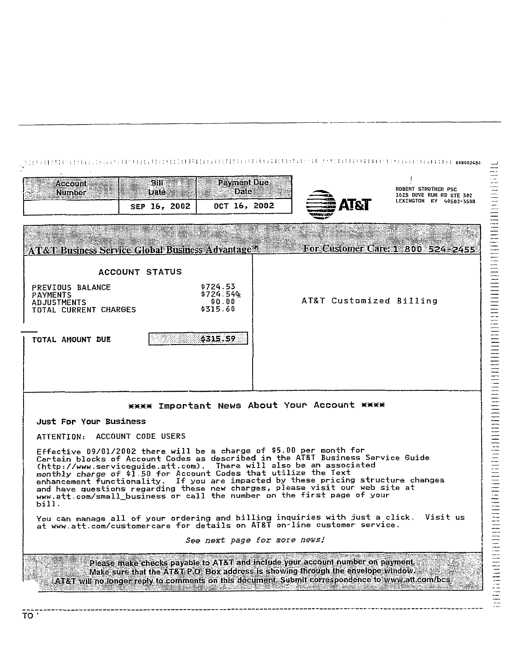| <b>Account</b><br><b>Number</b>                                                    | $\mathbf{B}\mathbf{H}$<br>bate | <b>Payment Due</b><br>Date                                                                                                              |                                                                                                                                                                                                                                                                                                                                                                                                        | ROBERT STROTHER PSC<br>1025 DOVE RUH RD STE 302 |
|------------------------------------------------------------------------------------|--------------------------------|-----------------------------------------------------------------------------------------------------------------------------------------|--------------------------------------------------------------------------------------------------------------------------------------------------------------------------------------------------------------------------------------------------------------------------------------------------------------------------------------------------------------------------------------------------------|-------------------------------------------------|
|                                                                                    | SEP 16, 2002                   | OCT 16, 2002                                                                                                                            | AT&T                                                                                                                                                                                                                                                                                                                                                                                                   | LEXINGTON KY 40502-3588                         |
|                                                                                    |                                |                                                                                                                                         |                                                                                                                                                                                                                                                                                                                                                                                                        |                                                 |
|                                                                                    |                                |                                                                                                                                         | AT&T Business Service Global Business Advantage <sup>st</sup> For Customer Care; 1 800 524-2455                                                                                                                                                                                                                                                                                                        |                                                 |
|                                                                                    | ACCOUNT STATUS                 |                                                                                                                                         |                                                                                                                                                                                                                                                                                                                                                                                                        |                                                 |
| PREVIOUS BALANCE<br><b>PAYMENTS</b><br><b>ADJUSTMENTS</b><br>TOTAL CURRENT CHARGES |                                | \$724.53<br>\$724.54 <sub>8</sub><br>\$0.00<br>\$315.60                                                                                 | AT&T Customized Billing                                                                                                                                                                                                                                                                                                                                                                                |                                                 |
| TOTAL AMOUNT DUE                                                                   |                                | \$315.59                                                                                                                                |                                                                                                                                                                                                                                                                                                                                                                                                        |                                                 |
|                                                                                    |                                |                                                                                                                                         |                                                                                                                                                                                                                                                                                                                                                                                                        |                                                 |
|                                                                                    |                                |                                                                                                                                         | <b>XXXX Important News About Your Account XXXX</b>                                                                                                                                                                                                                                                                                                                                                     |                                                 |
| <b>Just For Your Business</b>                                                      |                                |                                                                                                                                         |                                                                                                                                                                                                                                                                                                                                                                                                        |                                                 |
| ATTENTION:                                                                         | ACCOUNT CODE USERS             |                                                                                                                                         |                                                                                                                                                                                                                                                                                                                                                                                                        |                                                 |
| bill.                                                                              |                                | Effective 09/01/2002 there will be a charge of \$5.00 per month for<br>monthly charge of \$1.50 for Account Codes that utilize the Text | Certain blocks of Account Codes as described in the AT&T Business Service Guide<br>(http://www.serviceguide.att.com). There will also be an associated<br>enhancement functionality. If you are impacted by these pricing structure changes<br>and have questions regarding these new charges, please visit our web site at<br>www.att.com/small_business or call the number on the first page of your |                                                 |
|                                                                                    |                                |                                                                                                                                         | You can manage all of your ordering and billing inquiries with just a click. Visit us<br>at www.att.com/customercare for details on AI&I on-line customer service.                                                                                                                                                                                                                                     |                                                 |
|                                                                                    |                                | See next page for more news!                                                                                                            |                                                                                                                                                                                                                                                                                                                                                                                                        |                                                 |
|                                                                                    |                                |                                                                                                                                         | Please make checks payable to AT&T and include your account number on payment<br>Make sure that the AT&T P.O. Box address is showing through the envelope window.<br>AT&T will no longer reply to comments on this document. Submit correspondence to www.att.com/bcs.                                                                                                                                 |                                                 |

- --

 $\overline{\mathcal{L}}$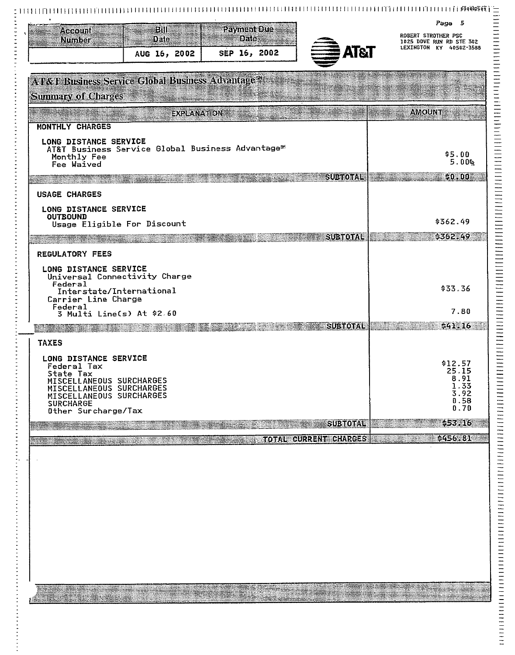| Payment Due<br>Bill<br><b>Account</b>                                                                                                                                            | Page 5                                                                     |
|----------------------------------------------------------------------------------------------------------------------------------------------------------------------------------|----------------------------------------------------------------------------|
| <b>Date</b><br><b>Date</b><br><b>Number</b><br><b>AT&amp;T</b><br>SEP 16, 2002<br>AUG 16, 2002                                                                                   | ROBERT STROTHER PSC<br>1025 DOVE RUN RD STE 302<br>LEXINGTON KY 40502-3588 |
| AT&T Business Service Global Business Advantage <sup>on</sup><br><b>Summay of Charges</b>                                                                                        |                                                                            |
| EXPLANATION<br>MONTHLY CHARGES                                                                                                                                                   | <b>AMOUNT</b>                                                              |
| LONG DISTANCE SERVICE<br>AT&T Business Service Global Business Advantages<br>Monthly Fee<br>Fee Waived                                                                           | \$5.00<br>5.00 <sub>R</sub>                                                |
| 398000                                                                                                                                                                           | 50,00                                                                      |
| <b>USAGE CHARGES</b>                                                                                                                                                             |                                                                            |
| LONG DISTANCE SERVICE<br><b>OUTBOUND</b><br>Usage Eligible For Discount                                                                                                          | \$362.49                                                                   |
| SUBTOTAL                                                                                                                                                                         | \$362.49                                                                   |
| <b>REGULATORY FEES</b>                                                                                                                                                           |                                                                            |
| LONG DISTANCE SERVICE<br>Universal Connectivity Charge<br>Federal<br>Interstate/International<br>Carrier Line Charge<br>Federal                                                  | \$33.36                                                                    |
| 3 Multi Line(s) At \$2.60                                                                                                                                                        | 7.80                                                                       |
| <b>SUBTOTAL</b><br>明照相開佛                                                                                                                                                         | 541.16                                                                     |
| <b>TAXES</b>                                                                                                                                                                     |                                                                            |
| LONG DISTANCE SERVICE<br>Federal Tax<br>State Tax<br>MISCELLANEOUS SURCHARGES<br>MISCELLANEOUS SURCHARGES<br>MISCELLANEOUS SURCHARGES<br><b>SURCHARGE</b><br>Other Surcharge/Tax | \$12.57<br>25.15<br>8.91<br>1.33<br>3.92<br>0.58<br>0.70                   |
| SUBTOTAL                                                                                                                                                                         | \$53.16                                                                    |
| <b>TOTAL CURRENT CHARGES</b>                                                                                                                                                     | 5456.811                                                                   |
|                                                                                                                                                                                  |                                                                            |
|                                                                                                                                                                                  |                                                                            |
|                                                                                                                                                                                  |                                                                            |
|                                                                                                                                                                                  |                                                                            |
|                                                                                                                                                                                  |                                                                            |
|                                                                                                                                                                                  |                                                                            |
|                                                                                                                                                                                  |                                                                            |
|                                                                                                                                                                                  |                                                                            |
|                                                                                                                                                                                  |                                                                            |
|                                                                                                                                                                                  |                                                                            |
|                                                                                                                                                                                  |                                                                            |
|                                                                                                                                                                                  |                                                                            |
|                                                                                                                                                                                  |                                                                            |

политически политически политически политически подавления и политических политических политических политических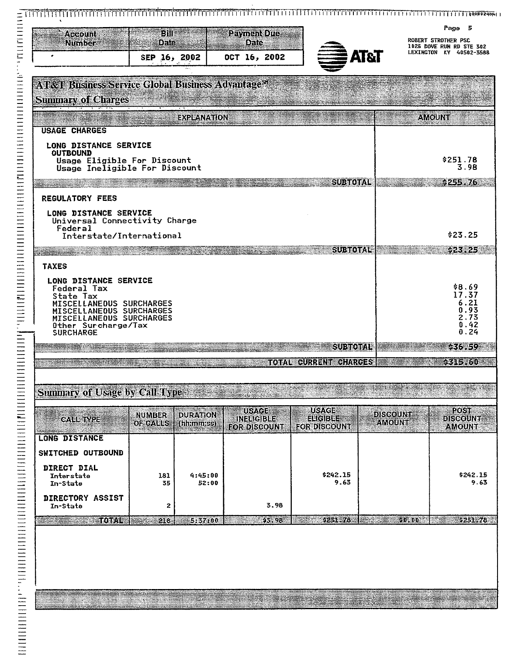| <b>AT&amp;T Business Service Global Business Advantage<sup>sy</sup></b><br>Siminavöl Giarres<br><b>USAGE CHARGES</b><br>LONG DISTANCE SERVICE<br><b>OUTBOUND</b><br>Usage Eligible For Discount<br>Usage Ineligible For Discount<br><b>REGULATORY FEES</b><br>LONG DISTANCE SERVICE<br>Universal Connectivity Charge<br>Federal<br>Interstate/International<br><b>TAXES</b><br>LONG DISTANCE SERVICE<br>Federal Tax<br>State Tax<br>MISCELLANEOUS SURCHARGES<br>MISCELLANEOUS SURCHARGES<br>MISCELLANEOUS SURCHARGES<br>Other Surcharge/Tax<br><b>SURCHARGE</b> | SEP 16, 2002                     | <b>EXPLANATION</b>            | OCT 16, 2002                             | 印度的原理<br>的时间的臂                        | <b>AT&amp;T</b>           | 1025 DOVE RUN RD STE 302<br>LEXINGTON KY 40502-3588<br>AMOUNT<br>\$251.78<br>3.98<br>6256.76<br>\$23.25 |
|-----------------------------------------------------------------------------------------------------------------------------------------------------------------------------------------------------------------------------------------------------------------------------------------------------------------------------------------------------------------------------------------------------------------------------------------------------------------------------------------------------------------------------------------------------------------|----------------------------------|-------------------------------|------------------------------------------|---------------------------------------|---------------------------|---------------------------------------------------------------------------------------------------------|
|                                                                                                                                                                                                                                                                                                                                                                                                                                                                                                                                                                 |                                  |                               |                                          |                                       |                           |                                                                                                         |
|                                                                                                                                                                                                                                                                                                                                                                                                                                                                                                                                                                 |                                  |                               |                                          |                                       |                           |                                                                                                         |
|                                                                                                                                                                                                                                                                                                                                                                                                                                                                                                                                                                 |                                  |                               |                                          |                                       |                           |                                                                                                         |
|                                                                                                                                                                                                                                                                                                                                                                                                                                                                                                                                                                 |                                  |                               |                                          |                                       |                           |                                                                                                         |
|                                                                                                                                                                                                                                                                                                                                                                                                                                                                                                                                                                 |                                  |                               |                                          |                                       |                           |                                                                                                         |
|                                                                                                                                                                                                                                                                                                                                                                                                                                                                                                                                                                 |                                  |                               |                                          |                                       |                           |                                                                                                         |
|                                                                                                                                                                                                                                                                                                                                                                                                                                                                                                                                                                 |                                  |                               |                                          |                                       |                           |                                                                                                         |
|                                                                                                                                                                                                                                                                                                                                                                                                                                                                                                                                                                 |                                  |                               |                                          |                                       |                           | 52. 125                                                                                                 |
|                                                                                                                                                                                                                                                                                                                                                                                                                                                                                                                                                                 |                                  |                               |                                          |                                       |                           |                                                                                                         |
|                                                                                                                                                                                                                                                                                                                                                                                                                                                                                                                                                                 |                                  |                               |                                          |                                       |                           | \$8.69<br>17.37<br>6.21<br>$\frac{0.93}{2.73}$<br>0.42<br>0.24                                          |
|                                                                                                                                                                                                                                                                                                                                                                                                                                                                                                                                                                 |                                  |                               |                                          | SUNDINE                               |                           | 535550                                                                                                  |
|                                                                                                                                                                                                                                                                                                                                                                                                                                                                                                                                                                 |                                  |                               |                                          | TOTAL CURRENT CHARGES                 |                           | <b>ESALEREDE</b>                                                                                        |
|                                                                                                                                                                                                                                                                                                                                                                                                                                                                                                                                                                 |                                  |                               |                                          |                                       |                           |                                                                                                         |
| Summary of Usage by Gall (Lyre                                                                                                                                                                                                                                                                                                                                                                                                                                                                                                                                  |                                  |                               |                                          |                                       |                           |                                                                                                         |
|                                                                                                                                                                                                                                                                                                                                                                                                                                                                                                                                                                 |                                  |                               | USAGE                                    | <b>USAGE</b>                          |                           | <b>POST</b>                                                                                             |
| <b>CALL TYPE</b><br><b>LONG DISTANCE</b>                                                                                                                                                                                                                                                                                                                                                                                                                                                                                                                        | <b>NUMBER</b><br><b>OF CALLS</b> | <b>DURATION</b><br>(hh:mm:ss) | <b>INELIGIBLE</b><br><b>FOR DISCOUNT</b> | <b>ELIGIBLE</b><br><b>FORDISCOUNT</b> | DISCOUNT<br><b>AMOUNT</b> | <b>DISCOUNT</b><br><b>AMOUNT</b>                                                                        |
| SWITCHED OUTBOUND                                                                                                                                                                                                                                                                                                                                                                                                                                                                                                                                               |                                  |                               |                                          |                                       |                           |                                                                                                         |
| DIRECT DIAL<br>Interstate<br>In-State                                                                                                                                                                                                                                                                                                                                                                                                                                                                                                                           | 181<br>35                        | 4:45:00<br>52:00              |                                          | \$242.15<br>9.63                      |                           | \$242.15<br>9.63                                                                                        |
| DIRECTORY ASSIST<br>In-State                                                                                                                                                                                                                                                                                                                                                                                                                                                                                                                                    | 2                                |                               | 3.98                                     |                                       |                           |                                                                                                         |
| <b>TOTAL</b>                                                                                                                                                                                                                                                                                                                                                                                                                                                                                                                                                    | 218.                             | 5137100                       | 95.98                                    | 9251 78                               | 15313199998               | $50.00$ $100$ $3251.78$                                                                                 |
|                                                                                                                                                                                                                                                                                                                                                                                                                                                                                                                                                                 |                                  |                               |                                          |                                       |                           |                                                                                                         |
|                                                                                                                                                                                                                                                                                                                                                                                                                                                                                                                                                                 |                                  |                               |                                          |                                       |                           |                                                                                                         |
|                                                                                                                                                                                                                                                                                                                                                                                                                                                                                                                                                                 |                                  |                               |                                          |                                       |                           |                                                                                                         |
|                                                                                                                                                                                                                                                                                                                                                                                                                                                                                                                                                                 |                                  |                               |                                          |                                       |                           |                                                                                                         |
|                                                                                                                                                                                                                                                                                                                                                                                                                                                                                                                                                                 |                                  |                               |                                          |                                       |                           |                                                                                                         |
|                                                                                                                                                                                                                                                                                                                                                                                                                                                                                                                                                                 |                                  |                               |                                          |                                       |                           |                                                                                                         |
|                                                                                                                                                                                                                                                                                                                                                                                                                                                                                                                                                                 |                                  |                               |                                          |                                       |                           |                                                                                                         |
|                                                                                                                                                                                                                                                                                                                                                                                                                                                                                                                                                                 |                                  |                               |                                          |                                       |                           |                                                                                                         |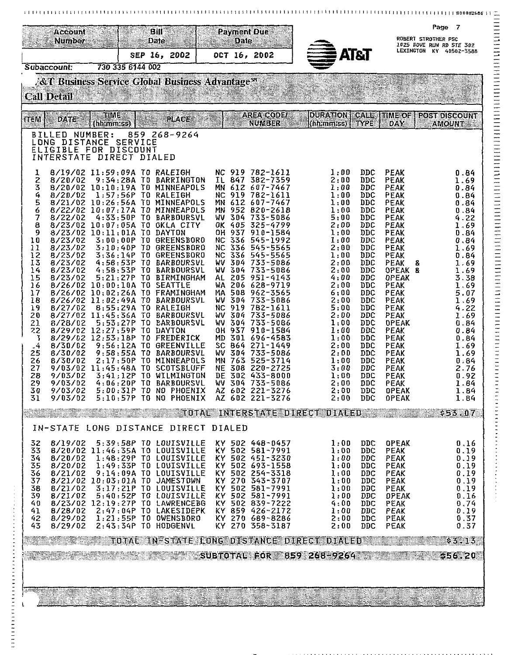| Account<br><b>Number</b>                                            | Bill<br>Date                                                                                        | <b>Payment Due</b><br>Date                                             |                                                                | Page 7<br>ROBERT STROTHER PSC<br>1025 DOVE RUN RD STE 302 |
|---------------------------------------------------------------------|-----------------------------------------------------------------------------------------------------|------------------------------------------------------------------------|----------------------------------------------------------------|-----------------------------------------------------------|
|                                                                     | 16, 2002<br>SEP.                                                                                    | OCT 16, 2002                                                           | <b>AT&amp;T</b>                                                | <b>LEXINGTON KY 40502-3588</b>                            |
| Subaccount:                                                         | 730 335 6144 002<br>ACT Business Service Global Business Advantage <sup>ss</sup>                    |                                                                        |                                                                |                                                           |
| <b>Call Detail</b>                                                  |                                                                                                     |                                                                        |                                                                |                                                           |
| TIME<br><b>TTEM</b><br><b>DATE</b>                                  | <b>PLACE</b>                                                                                        | <b>AREA CODE!</b>                                                      | <b>DURATION</b><br><b>CALL</b>                                 | time of<br><b>POST DISCOUNT</b>                           |
| hh:mm:ss)<br>BILLED NUMBER:                                         | 859 268-9264                                                                                        | NUMBER                                                                 | $(n)$ $n$ $m$ $n$ $ss$ $s$<br><b>TYPE</b>                      | DAY<br><b>AMOUNT</b>                                      |
| LONG DISTANCE SERVICE<br>ELIGIBLE FOR DISCOUNT<br>INTERSTATE DIRECT | DIALED                                                                                              |                                                                        |                                                                |                                                           |
| 8/19/02 11:59:09A<br>1                                              | TO.<br>RALEIGH                                                                                      | NC 919 782-1611                                                        | 1:00<br>DDC.                                                   | <b>PEAK</b><br>0.84                                       |
| $\overline{\mathbf{c}}$<br>8/20/02<br>3<br>8/20/02 10:10:19A TO     | $9:34:28A$ TD<br><b>BARRINGTON</b><br>MINNEAPOLS                                                    | IL 847 382-7359<br>612 607-7467<br>MN                                  | DDC<br>2:00<br>1:00<br>DDC                                     | <b>PEAK</b><br>1.69<br>PEAK<br>084                        |
| 4<br>8/20/02<br>5<br>8/21/02 10:26:56A<br>6<br>8/22/02 10:07:17A    | 1:57:56P<br>T <sub>0</sub><br>RALEIGH<br>T <sub>0</sub><br>MINNEAPOLS<br>T0<br><b>MINNEAPDLS</b>    | 919 782-1611<br>NC.<br>612 607-7467<br>MN<br>952 820-2618<br>MN.       | DDC<br>1:00<br>1:00<br>$_{\text{DEC}}$<br>1:00<br>$_{\rm DDC}$ | <b>PEAK</b><br>0.84<br>PEAK<br>0.84<br><b>PEAK</b>        |
| 7<br>8/22/02<br>8/23/02 10:07:05A TO<br>8                           | 4:33:50P<br>T <sub>0</sub><br>BARBOURSVL<br><b>GKLA CITY</b>                                        | WV 304 733-5086<br>OK 405 325-4799                                     | 5:00<br>DDC<br>2:00<br>DDC                                     | 0.84<br>PEAK<br>4.22<br>PEAK<br>1.69                      |
| 9<br>8/23/02 10:11:01A TO<br>10<br>8/23/02                          | DAYTON<br><b>GREENSBORO</b><br>3:00:00P<br>TO.                                                      | 937<br>910-1584<br>0H<br>NC 336 545-1992                               | 1:00<br>DDC<br>1:00<br>DDC                                     | <b>PEAK</b><br>O 84<br><b>PEAK</b><br>0.84                |
| 8/23/02<br>11<br>12<br>8/23/02                                      | $3:10:40P$ TO<br>GREENSBORO<br>3:36:14P<br>TO.<br><b>GREENSBORO</b>                                 | 336 545-5565<br>NC.<br><b>NC</b><br>336 545-5565                       | 2:00<br>DDC<br>1:00<br>DDC                                     | <b>PEAK</b><br>169<br><b>PEAK</b><br>0.84                 |
| 13<br>8/23/02<br>14<br>8/23/02                                      | 4:58:53P TO<br>BARBOURSVL<br>$4:58:53P$ TO<br>BARBOURSVL                                            | WV 304 733-5086<br>WV<br>304 733-5086                                  | 2:00<br>DDC<br>2:00<br>DDC                                     | PEAK<br>8.<br>1 69<br>OPEAK &<br>1.69                     |
| 15<br>8/23/02<br>16<br>8/26/02 10:00:10A TO                         | 5:21:27P TO BIRMINGHAM<br><b>SEATTLE</b>                                                            | AL.<br>205 951-4143<br>206 628-9719<br>WА                              | 4:00<br>DDC<br>2:00<br>DDC                                     | <b>OPEAK</b><br>3.38<br><b>PEAK</b><br>1.69               |
| 17<br>8/26/02 10:02:26A TO<br>18<br>8/26/02 11:02:49A               | FRAMINGHAM<br><b>BARBOURSVL</b><br>TO                                                               | 508 962-3565<br>MA<br>wv<br>304 733-5086                               | 6:00<br><b>DDC</b><br>2:00<br>DDC                              | PEAK<br>5.07<br>PEAK<br>169                               |
| 8/27/02<br>19<br>20<br>8/27/02<br>11:45:36A                         | RALEIGH<br>8:55:29A<br>T0<br>BARBOURSVL<br>TO                                                       | NC 919 782-1611<br>WV<br>304<br>733-5086                               | 5:00<br>DDC<br>2:00<br>DDC                                     | PEAK<br>4.22<br>PEAK<br>1.69                              |
| 21<br>8/28/02<br>22<br>8/29/02<br>12:27:59P<br>8/29/02 12:53:18P TO | <b><i>EARBOURSVL</i></b><br>5:53:27P<br>- TO<br>TO.<br>DAYTON                                       | WV<br>304 733-5086<br>OH<br>937<br>910-1584                            | 1:00<br>DDC<br>1:00<br>DDC                                     | <b>OPEAK</b><br>0.84<br><b>PEAK</b><br>0.84               |
| J<br>-4<br>8/30/02<br>8/30/02<br>25                                 | FREDERICK<br>9:56:12A<br>T <sub>0</sub><br><b>GREENVILLE</b><br>9:58:55A<br><b>BARBOURSVL</b><br>TO | MD 301 696-4583<br><b>SC</b><br>864<br>271-1449<br>304 733-5086<br>WV. | 1:00<br>DDC<br>2:00<br><b>DDC</b><br>2:00<br>DDC               | PEAK<br>0.84<br><b>PEAK</b><br>1.69<br>PEAK<br>1.69       |
| 26<br>8/30/02<br>9/03/02 11:45:48A<br>27                            | 2:17:50P<br>T0<br>MINNEAPOLS<br>TO<br>SCOTSBLUFF                                                    | 763<br>525-3714<br>MN<br>308 220-2725<br>NE                            | DDC<br>1:00<br>DDC<br>3:00                                     | PEAK<br>084<br>PEAK<br>276                                |
| 28<br>9/03/02<br>29<br>9/03/02                                      | TO.<br>WILMINGTON<br>3:41:12P<br>4:06:20P TO BARBOURSVL                                             | DE 302 433-8000<br>WV 304 733-5086                                     | 1:00<br>DDC<br>DDC.<br>2:00                                    | PEAK<br>0.92<br>PEAK<br>1.84                              |
| 9/03/02<br>30<br>9/03/02<br>31                                      | 5:00:31P TO NO PHOENIX<br>5:10:57P TO NO PHOENIX                                                    | AZ 602 221-3276<br>AZ 602 221-3276                                     | 2:00<br>DDC<br>2:00<br><b>DDC</b>                              | <b>OPEAK</b><br>1.84<br>OPEAK<br>184                      |
|                                                                     |                                                                                                     | TOTAL INTERSTATE DIRECT DIALED THE TUBE A                              |                                                                | \$53.07                                                   |
|                                                                     | IN-STATE LONG DISTANCE DIRECT DIALED                                                                |                                                                        |                                                                |                                                           |
| 8/19/02<br>32<br>33                                                 | 5:39:58P TO LOUISVILLE<br>8/20/02 11:46:35A TO LOUISVILLE                                           | KY 502 448-0457<br>KY 502 581-7991                                     | 1:00<br>DDC.<br>1:00<br><b>DDC</b>                             | <b>OPEAK</b><br>0.16<br><b>PEAK</b><br>0.19               |
| 34<br>8/20/02<br>35<br>8/20/02                                      | 1:48:29P TO LOUISVILLE<br>1:49:33P TO LOUISVILLE                                                    | KY 502 451-3230<br>KY 502 693-1558                                     | <b>DDC</b><br>1:00<br>1:00<br><b>DDC</b>                       | PEAK<br>0.19<br><b>PEAK</b><br>0.19                       |
| 36<br>8/21/02<br>37                                                 | 9:14:09A TO LOUISVILLE<br>8/21/02 10:03:01A TO JAMESTOWN                                            | KY 502 254-3318<br>KY 270 343-3707                                     | 1:00<br>DDC<br>l:00<br><b>DDC</b>                              | PEAK<br>0.19<br><b>PEAK</b><br>0.19                       |
| 38<br>8/21/02<br>39<br>8/21/02                                      | 3:17:21P TO LOUISVILLE<br>5:40:52P TO LOUISVILLE                                                    | KY 502 581-7991<br>KY 502 581-7991                                     | DDC.<br>1:00<br>1:00<br>DDC                                    | <b>PEAK</b><br>0.19<br><b>DPEAK</b><br>0.16               |
| 40<br>41<br>8/28/02<br>8/29/02                                      | 8/23/02 12:19:27P TO LAWRENCEBG<br>2:47:04P TO LAKESIDEPK<br>1:21:55P TO OWENSBORO                  | KY 502 839-7222<br>KY 859 426-2172<br>KY 270 689-8286                  | 4:00<br>DDC<br>1:00<br>DDC.<br>2:00<br>DDC.                    | PEAK<br>0.74<br>PEAK<br>0.19<br><b>PEAK</b>               |
| 42<br>43<br>8/29/02                                                 | 2:43:34P TO HODGENVL                                                                                | KY 270 358-3187                                                        | 2:00<br>DDC.                                                   | 0.37<br><b>PEAK</b><br>0.37                               |
|                                                                     |                                                                                                     | <b>THE TUTAL IN STATE LONG DISTANCE DIRECT DIALED TELLS</b>            |                                                                | \$3.15                                                    |
|                                                                     |                                                                                                     | SUBTOTAL FOR 859 268-9264                                              |                                                                | \$56.20                                                   |
|                                                                     |                                                                                                     |                                                                        |                                                                |                                                           |
| <b><i><u> Clutter (Agricult)</u></i></b>                            |                                                                                                     |                                                                        |                                                                |                                                           |
|                                                                     |                                                                                                     |                                                                        |                                                                |                                                           |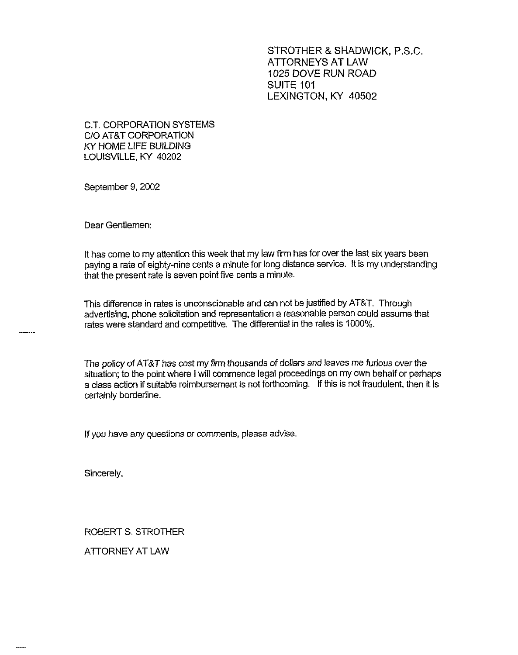STROTHER & SHADWICK, P.S.C. ATTORNEYS AT LAW 1025 DOVE RUN ROAD SUITE 101 LEXINGTON, KY 40502

C.T. CORPORATION SYSTEMS C/0 AT&T CORPORATION KY HOME LIFE BUILDING LOUISVILLE, KY 40202

September 9, 2002

Dear Gentlemen:

It has come to my attention this week that my law firm has for over the last six years been paying a rate of eighty-nine cents a minute for long distance service, lt is my understanding that the present rate is seven point five cents a minute.

This difference in rates is unconscionable and can not be justified by AT&T. Through advertising, phone solicitation and representation a reasonable person could assume that rates were standard and competitive. The differential in the rates is 1000%.

The policy of AT&T has cost my firm thousands of dollars and leaves me furious over the situation; to the point where <sup>I</sup> will commence legal proceedings on my own behalf or perhaps a class action if suitable reimbursement is not forthcoming. If this is not fraudulent, then it is certainly borderline.

If you have any questions or comments, please advise.

Sincerely,

ROBERT S. STROTHER

ATTORNEY AT LAW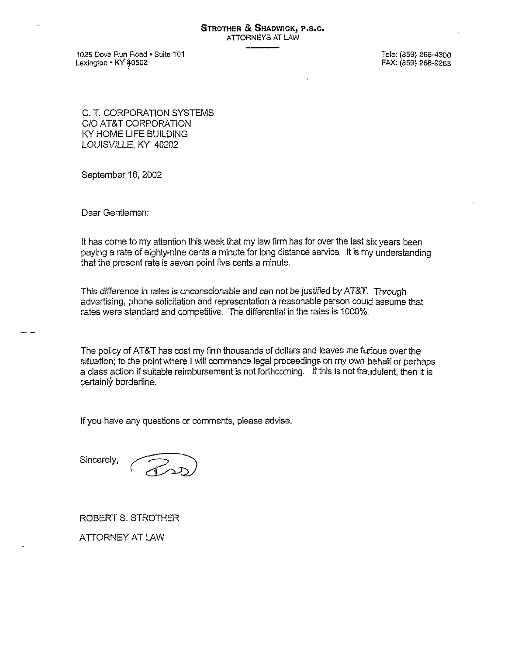STROTHER & SHADWICK, P.S.C. ATTORNEYS AT LAW

<sup>1</sup> 025 Dove Run Road <sup>~</sup> Suite 101 Lexington · KY 40502

Tele: (859) 266-4800 FAX: (859) 268-9268

C. T. CORPORATION SYSTEMS CiO AT&T CORPORATION KY HOME LIFE BUILDING LONSVILLE, KY 40202

September 16, 2002

Dear Gentlemen:

It has come to my attention this week that my law firm has for over the last six years been paying a rate of eighty-nine cents a minute for long distance service, It is my understanding that the present rate is seven point five cents a minute.

This difference in rates is unconscionable and can not be justified by AT&T. Through advertising, phone solicitation and representation a reasonable person could assume that rates were standard and competitive. 'The differential in the rates is 1000%,

The policy of AT&T has cost my firm thousands of dollars and leaves me furious over the situation; to the point where <sup>I</sup> will commence legal proceedings on my own behalf or perhaps a class action if suitabie reimbursement is not forthcoming. If this is not fraudulent, then it is certainly borderline.

If you have any questions or comments, please advise.

Sincerely,

Pro

ROBERT S. STROTHER **ATTORNEY AT LAW**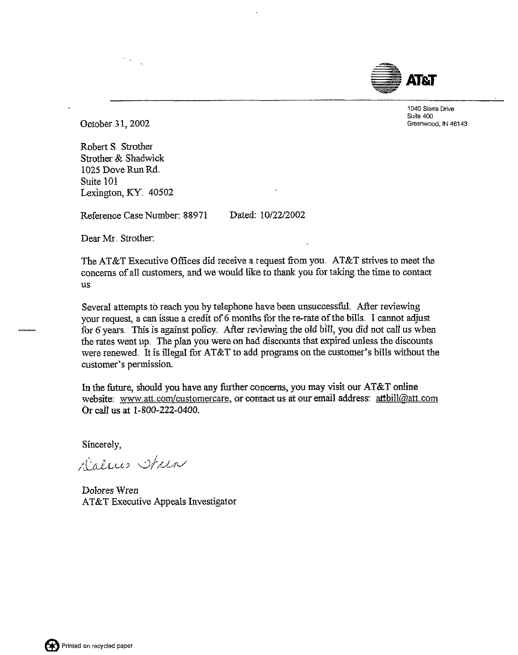

1040 Sierra Drive Suite 400 Greenwood, IN 46143

October 31, 2002

Robert S Strother Strother & Shadwick 1025 Dove Run Rd. Suite 101 Lexington, KY, 40502

Reference Case Number. 88971 Dated: 10/22/2002

Dear Mr. Strother.

The AT&T Executive Offices did receive a request from you. AT&T strives to meet the concerns of all customers, and we would like to thank you for taking the time to contact us,

Several attempts to reach you by telephone have been unsuccessful. Atter reviewing your request, a can issue a credit of 6 months for the re-rate of the bills. I cannot adjust for 6 years. This is against policy. After reviewing the old bill, you did not call us when the rates went up. The plan you were on had discounts that expired unless the discounts were renewed. It is illegal for  $AT&T$  to add programs on the customer's bills without the customer's permission.

In the future, should you have any further concerns, you may visit our AT&T online website: www.att.com/customercare, or contact us at our email address: attbill@att.com Or call us at 1-800-222-04100.

Sincerely,

Dalues Stan

Dolores Wren AT&T Executive Appeals Investigator